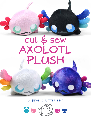## cut & sew AXOLOTL PLUSH

**a sewing pattern by**

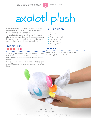# axolotl plush

**2**

If you're reading this, then you likely purchased some of my Cut & Sew Axolotl Plush fabric from Spoonflower. So thank you! This cute belly-down plush is a chibi version of everyone's favorite amphibious salamander. It has the same external gills and tail fin as the original, but in a much smaller package.

#### **difficulty:**

Attaching the head is likely the trickiest part of this plush, which might bump it up to a 4 if you don't have a lot of experience with the ladder stitch.

Overall, there aren't a lot of small details to the animal (besides the gills), so it doesn't take too long.

#### **skills used:**

- Basting
- Darts
- Sewing small pieces
- Ladder stitch
- Top-stitching
- Sewing curves

#### **makes:**

One plush: about 8" long, 6" wide (not including gills), and 5" tall



| www.cholyknight.com |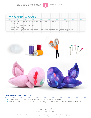

### **materials & tools:**

- your pre-printed Cut & Sew Axolotl plush fabric from Spoonflower (at least one fat quarter)
- sewing thread to match fabrics
- poly-fil stuffing
	- basic sewing tools (sewing machine, scissors, needles, pins, seam ripper, etc.)



#### **before you begin:**

- Briefly read the project instructions so you know what to expect.
- Note that a ¼" seam allowance is used throughout the project -- already included in the fabric.

sew desu ne? | www.cholyknight.com |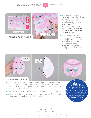cut & sew axolotl plush  $\mathbf{A}$  sewing tutorial







**4**

a. Grab your printed Spoonflower cut & sew fabric. If you ordered ¼ yd. of minky or fleece, it should include all the pieces needed (surrounded by a border). There should be 22 pieces

#### included: **face, head back (2), back (2), belly, arms (4), and gills (12).**

**b.** If you're new to sewing, you might want to wait until the applicable step before cutting your fabric so you can refer to the notes and labels. Once you need a piece, cut it out along the dotted lines outside the shape.



- a. Cut out your **face** piece. Locate the open wedge found on the top and bottom of the **face** -- these are the darts. To sew them, start by folding the face piece in half along the point of the dart and match up the slanted lines that make the wedge shape.
- **b.** Sew the darts by starting at the opening and moving down to the point.
- c. When sewing the point, try to blend the seam in with the fold so it makes a smooth transition and a rounder finished plush.

**darts:** A wedge-shaped gap found in a pattern. When sewn in fabric, it creates a tuck in the fabric and develops a 3D shape. The diagonal sides of the wedge are the **legs**; these are matched up and sewn **to the POINT** of the dark.

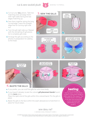$cut & sew \,axolotl \,plus \, \cdot \, \cdot$  sewing tutorial



- a. Cut out your **gill** pieces. Take two matching ones and align them with right sides facing and raw edges matching up.
- **b.** Sew them together along the long curved edge. Leave the straight edge free for turning right side out.
- c. Turn the gill right side out. Repeat with the remaining 10 gill pieces for 6 complete gills total.
- d. Arrange the gills according to the photos in preparation for adding to the head.









- a. If you prefer, you can stuff the gills for a bit more body.
- b. If you haven't already, locate the colored *gill placement bands* found on the **face** piece.

Place the open end of the gills within this colored band. Pin the gills in place.

c. Baste the gills to the face within the seam allowances to hold them in place for future steps.

#### **basting:**

flip gills to inside

A form of tempor sewing meant to hold pieces in place. A long stitch length is often used for this reason. The finished result is not meant to be seen and sometimes is even removed later (depending on your project).

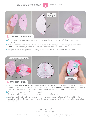cut & sew axolotl plush and sewing tutorial





- **a.** Cut out your two **HEAD BACK** pieces. Align them together with right sides facing and raw edges matching up.
- **b.** Note the **opening for turning** colored bands found on the fabric piece. Sew along this edge of the **HEAD BACK** pieces only, but be sure to leave the opening for turning as marked.
- c. The placement of the opening for turning is important since it lines up with the neck later.



- a. Open up your **head back** piece and grab the **face** piece you have so far. Align them with right sides facing. Be sure the top of the back pieces (marked with a *circle symbol*) are aligned with the top of the face piece. The *back seam* should also match up with the *top and bottom dart* on the face.
- **b.** Sew around the perimeter of the head completely. Turn the head right side out through the opening you left in the back.
- c. Stuff the head firmly with stuffing, pushing the stuffing towards the top and bottom until it gets completely full and there are no wrinkles in the fabric. The bottom of the head should be nice and flat so it rests flush.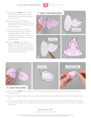$cut &$  sew axolotl plush  $\overline{z}$  sewing tutorial



- a. Cut out your **back** pieces. Take them both and align them with right sides facing and raw edges matching up.
- **b.** Sew the two pieces together along the tail edge only. Be sure to pivot at the corners where the tail starts and ends.
- c. Once complete, trim the seam allowance near the tip of the tail to reduce bulk. Clip the seam allowance at the inner corners to increase flexibility when the back is turned later.
- d.Turn the **back** right side out. Define the point of the tail with a chop stick or similar turning tool. Note the accent line that's printed along the tail. Top stitch along this line to create the tail fin.

7. **sew the body back** a. b. sew along tail edge only





- a. Cut out your **arm** pieces. Take two of them and align them with right sides facing and raw edges matching up.
- **b.** Sew them together along the curved edge, leaving the short straight edge free for turning right side out.
- c. Turn the arm right side out. Repeat with the remaining two arm pieces for two complete arms total. Stuff the arms lightly with stuffing toward the end. Keep the opening empty so it's easier to sew to the belly next.

sew desu ne? | www.cholyknight.com |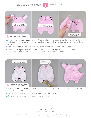cut & sew axolotl plush and sewing tutorial





**8**

- a. Locate the colored arm placement bands on the fabric for the **BELLY**. Align the open ends of the arms within these bands. You can have them pointing upward or downward as your preference. Pin them in place.
- **b.** Baste the **ARMS** to the belly within the seam allowance to hold them for future steps.
- c. Grab your **back** piece from before. Tuck the tail from your **back** piece into the center and out of the way. Align it over the belly with right sides facing and raw edges matching up.



- a. Sew the **BELLY** to the **BACK** along the edge with the legs. Leave the short curved edge (the neck) open for turning right side out.
- **b.** Before turning, be sure to clip the small inner corners near the legs.
- c. Turn the body right side out through the opening in the neck.

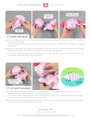



**9**

a. Stuff the body by starting with the tail, be sure it's nice and full before moving on. Next, fill up each leg with balls of stuffing.

Finally, move onto filling the rest of the body with stuffing. Once complete there should be no wrinkles in the fabric.

- **b.** Align the opening in the head over the opening in the neck. The neck opening is larger than the head opening, so arrange them so the neck opening covers the head opening.
- c. If you need help placing the head, try drawing a 2-3" wide circle around the head opening. Use that as a stitching guide when attaching to the body.



- a. Thread a hand-sewing needle and knot it at the end. Insert the needle from the inside of the neck opening and out. This will leave the knot inside the plush. Continue from here doing a ladder stitch. Start by taking a 1/8" stitch into the back seam of the neck and another into the top edge of the head opening.
- **b.** Continue working around the head toward the front. To make things easier, take big basting stitches just to be sure you have the placement right.